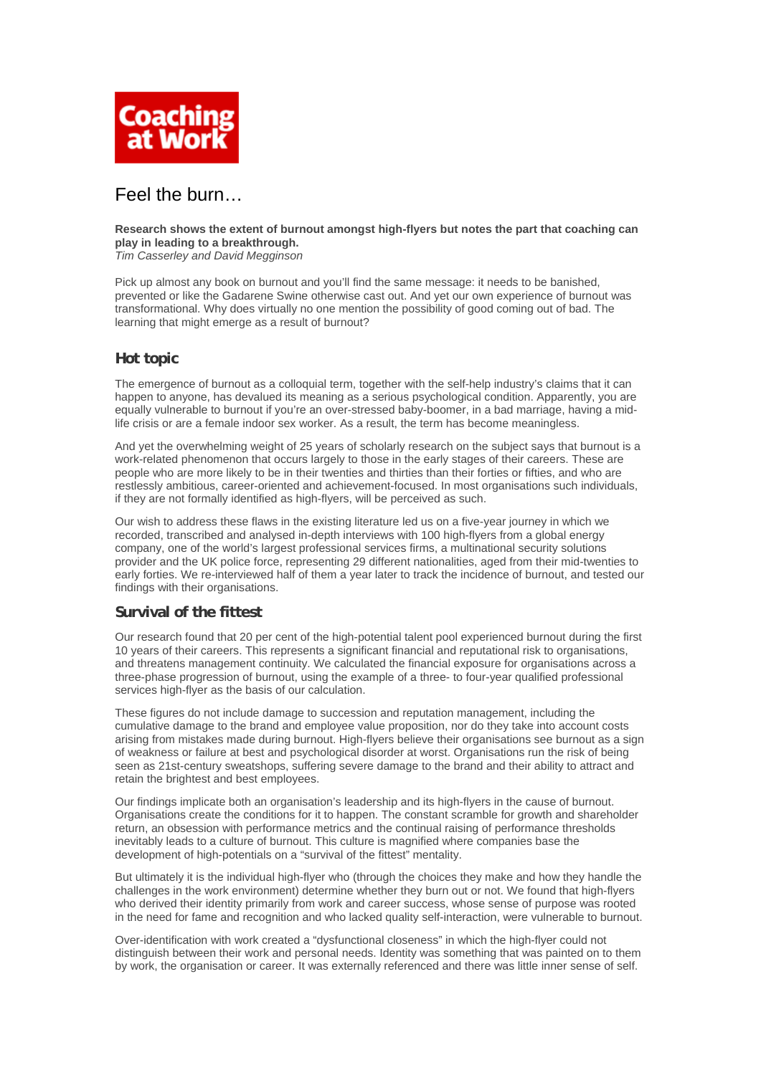

# Feel the burn…

#### **Research shows the extent of burnout amongst high-flyers but notes the part that coaching can play in leading to a breakthrough.**

*Tim Casserley and David Megginson* 

Pick up almost any book on burnout and you'll find the same message: it needs to be banished, prevented or like the Gadarene Swine otherwise cast out. And yet our own experience of burnout was transformational. Why does virtually no one mention the possibility of good coming out of bad. The learning that might emerge as a result of burnout?

# **Hot topic**

The emergence of burnout as a colloquial term, together with the self-help industry's claims that it can happen to anyone, has devalued its meaning as a serious psychological condition. Apparently, you are equally vulnerable to burnout if you're an over-stressed baby-boomer, in a bad marriage, having a midlife crisis or are a female indoor sex worker. As a result, the term has become meaningless.

And yet the overwhelming weight of 25 years of scholarly research on the subject says that burnout is a work-related phenomenon that occurs largely to those in the early stages of their careers. These are people who are more likely to be in their twenties and thirties than their forties or fifties, and who are restlessly ambitious, career-oriented and achievement-focused. In most organisations such individuals, if they are not formally identified as high-flyers, will be perceived as such.

Our wish to address these flaws in the existing literature led us on a five-year journey in which we recorded, transcribed and analysed in-depth interviews with 100 high-flyers from a global energy company, one of the world's largest professional services firms, a multinational security solutions provider and the UK police force, representing 29 different nationalities, aged from their mid-twenties to early forties. We re-interviewed half of them a year later to track the incidence of burnout, and tested our findings with their organisations.

# **Survival of the fittest**

Our research found that 20 per cent of the high-potential talent pool experienced burnout during the first 10 years of their careers. This represents a significant financial and reputational risk to organisations, and threatens management continuity. We calculated the financial exposure for organisations across a three-phase progression of burnout, using the example of a three- to four-year qualified professional services high-flyer as the basis of our calculation.

These figures do not include damage to succession and reputation management, including the cumulative damage to the brand and employee value proposition, nor do they take into account costs arising from mistakes made during burnout. High-flyers believe their organisations see burnout as a sign of weakness or failure at best and psychological disorder at worst. Organisations run the risk of being seen as 21st-century sweatshops, suffering severe damage to the brand and their ability to attract and retain the brightest and best employees.

Our findings implicate both an organisation's leadership and its high-flyers in the cause of burnout. Organisations create the conditions for it to happen. The constant scramble for growth and shareholder return, an obsession with performance metrics and the continual raising of performance thresholds inevitably leads to a culture of burnout. This culture is magnified where companies base the development of high-potentials on a "survival of the fittest" mentality.

But ultimately it is the individual high-flyer who (through the choices they make and how they handle the challenges in the work environment) determine whether they burn out or not. We found that high-flyers who derived their identity primarily from work and career success, whose sense of purpose was rooted in the need for fame and recognition and who lacked quality self-interaction, were vulnerable to burnout.

Over-identification with work created a "dysfunctional closeness" in which the high-flyer could not distinguish between their work and personal needs. Identity was something that was painted on to them by work, the organisation or career. It was externally referenced and there was little inner sense of self.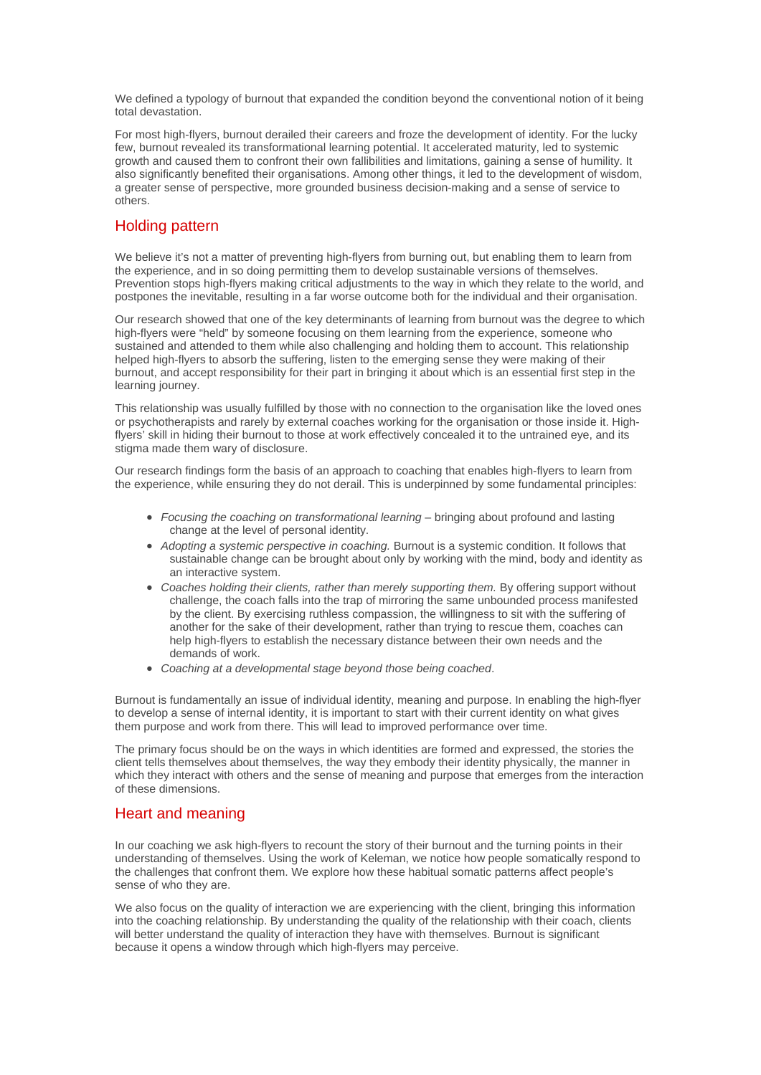We defined a typology of burnout that expanded the condition beyond the conventional notion of it being total devastation.

For most high-flyers, burnout derailed their careers and froze the development of identity. For the lucky few, burnout revealed its transformational learning potential. It accelerated maturity, led to systemic growth and caused them to confront their own fallibilities and limitations, gaining a sense of humility. It also significantly benefited their organisations. Among other things, it led to the development of wisdom, a greater sense of perspective, more grounded business decision-making and a sense of service to others.

#### Holding pattern

We believe it's not a matter of preventing high-flyers from burning out, but enabling them to learn from the experience, and in so doing permitting them to develop sustainable versions of themselves. Prevention stops high-flyers making critical adjustments to the way in which they relate to the world, and postpones the inevitable, resulting in a far worse outcome both for the individual and their organisation.

Our research showed that one of the key determinants of learning from burnout was the degree to which high-flyers were "held" by someone focusing on them learning from the experience, someone who sustained and attended to them while also challenging and holding them to account. This relationship helped high-flyers to absorb the suffering, listen to the emerging sense they were making of their burnout, and accept responsibility for their part in bringing it about which is an essential first step in the learning journey.

This relationship was usually fulfilled by those with no connection to the organisation like the loved ones or psychotherapists and rarely by external coaches working for the organisation or those inside it. Highflyers' skill in hiding their burnout to those at work effectively concealed it to the untrained eye, and its stigma made them wary of disclosure.

Our research findings form the basis of an approach to coaching that enables high-flyers to learn from the experience, while ensuring they do not derail. This is underpinned by some fundamental principles:

- *Focusing the coaching on transformational learning* bringing about profound and lasting change at the level of personal identity.
- *Adopting a systemic perspective in coaching.* Burnout is a systemic condition. It follows that sustainable change can be brought about only by working with the mind, body and identity as an interactive system.
- *Coaches holding their clients, rather than merely supporting them.* By offering support without challenge, the coach falls into the trap of mirroring the same unbounded process manifested by the client. By exercising ruthless compassion, the willingness to sit with the suffering of another for the sake of their development, rather than trying to rescue them, coaches can help high-flyers to establish the necessary distance between their own needs and the demands of work.
- *Coaching at a developmental stage beyond those being coached*.

Burnout is fundamentally an issue of individual identity, meaning and purpose. In enabling the high-flyer to develop a sense of internal identity, it is important to start with their current identity on what gives them purpose and work from there. This will lead to improved performance over time.

The primary focus should be on the ways in which identities are formed and expressed, the stories the client tells themselves about themselves, the way they embody their identity physically, the manner in which they interact with others and the sense of meaning and purpose that emerges from the interaction of these dimensions.

# Heart and meaning

In our coaching we ask high-flyers to recount the story of their burnout and the turning points in their understanding of themselves. Using the work of Keleman, we notice how people somatically respond to the challenges that confront them. We explore how these habitual somatic patterns affect people's sense of who they are.

We also focus on the quality of interaction we are experiencing with the client, bringing this information into the coaching relationship. By understanding the quality of the relationship with their coach, clients will better understand the quality of interaction they have with themselves. Burnout is significant because it opens a window through which high-flyers may perceive.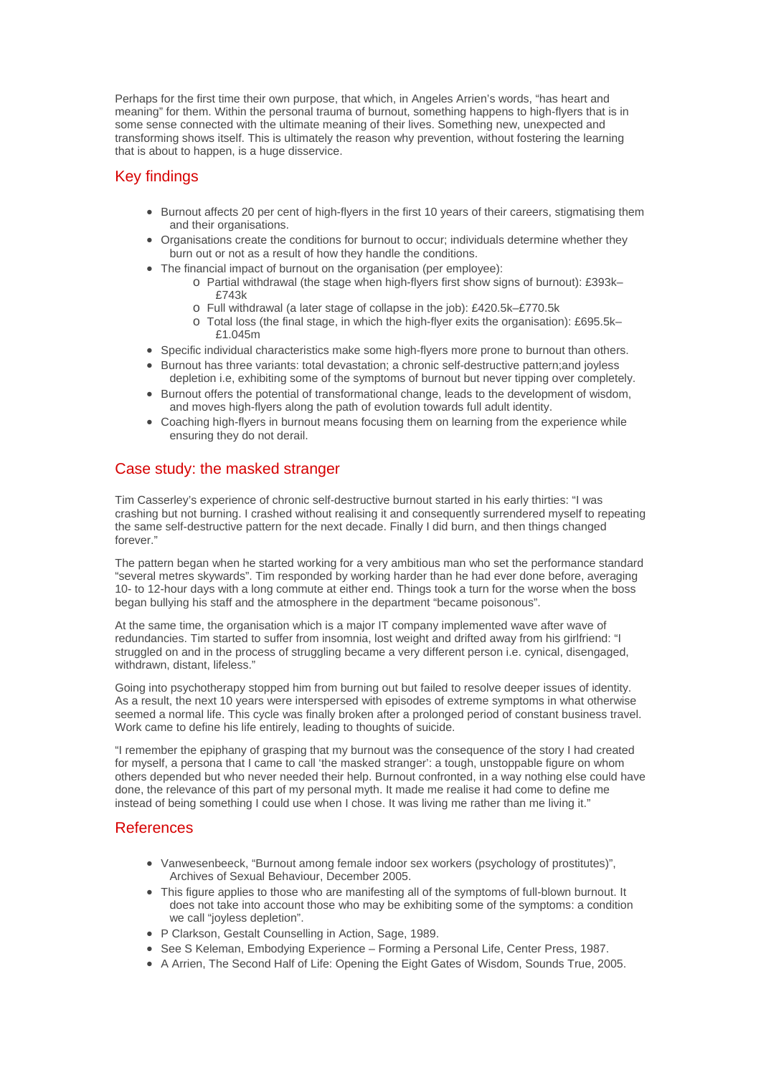Perhaps for the first time their own purpose, that which, in Angeles Arrien's words, "has heart and meaning" for them. Within the personal trauma of burnout, something happens to high-flyers that is in some sense connected with the ultimate meaning of their lives. Something new, unexpected and transforming shows itself. This is ultimately the reason why prevention, without fostering the learning that is about to happen, is a huge disservice.

#### Key findings

- Burnout affects 20 per cent of high-flyers in the first 10 years of their careers, stigmatising them and their organisations.
- Organisations create the conditions for burnout to occur; individuals determine whether they burn out or not as a result of how they handle the conditions.
- The financial impact of burnout on the organisation (per employee):
	- o Partial withdrawal (the stage when high-flyers first show signs of burnout): £393k– £743k
		- o Full withdrawal (a later stage of collapse in the job): £420.5k–£770.5k
		- o Total loss (the final stage, in which the high-flyer exits the organisation): £695.5k– £1.045m
- Specific individual characteristics make some high-flyers more prone to burnout than others.
- Burnout has three variants: total devastation; a chronic self-destructive pattern;and joyless depletion i.e, exhibiting some of the symptoms of burnout but never tipping over completely.
- Burnout offers the potential of transformational change, leads to the development of wisdom, and moves high-flyers along the path of evolution towards full adult identity.
- Coaching high-flyers in burnout means focusing them on learning from the experience while ensuring they do not derail.

# Case study: the masked stranger

Tim Casserley's experience of chronic self-destructive burnout started in his early thirties: "I was crashing but not burning. I crashed without realising it and consequently surrendered myself to repeating the same self-destructive pattern for the next decade. Finally I did burn, and then things changed forever."

The pattern began when he started working for a very ambitious man who set the performance standard "several metres skywards". Tim responded by working harder than he had ever done before, averaging 10- to 12-hour days with a long commute at either end. Things took a turn for the worse when the boss began bullying his staff and the atmosphere in the department "became poisonous".

At the same time, the organisation which is a major IT company implemented wave after wave of redundancies. Tim started to suffer from insomnia, lost weight and drifted away from his girlfriend: "I struggled on and in the process of struggling became a very different person i.e. cynical, disengaged, withdrawn, distant, lifeless."

Going into psychotherapy stopped him from burning out but failed to resolve deeper issues of identity. As a result, the next 10 years were interspersed with episodes of extreme symptoms in what otherwise seemed a normal life. This cycle was finally broken after a prolonged period of constant business travel. Work came to define his life entirely, leading to thoughts of suicide.

"I remember the epiphany of grasping that my burnout was the consequence of the story I had created for myself, a persona that I came to call 'the masked stranger'; a tough, unstoppable figure on whom others depended but who never needed their help. Burnout confronted, in a way nothing else could have done, the relevance of this part of my personal myth. It made me realise it had come to define me instead of being something I could use when I chose. It was living me rather than me living it."

#### References

- Vanwesenbeeck, "Burnout among female indoor sex workers (psychology of prostitutes)", Archives of Sexual Behaviour, December 2005.
- This figure applies to those who are manifesting all of the symptoms of full-blown burnout. It does not take into account those who may be exhibiting some of the symptoms: a condition we call "joyless depletion".
- P Clarkson, Gestalt Counselling in Action, Sage, 1989.
- See S Keleman, Embodying Experience Forming a Personal Life, Center Press, 1987.
- A Arrien, The Second Half of Life: Opening the Eight Gates of Wisdom, Sounds True, 2005.